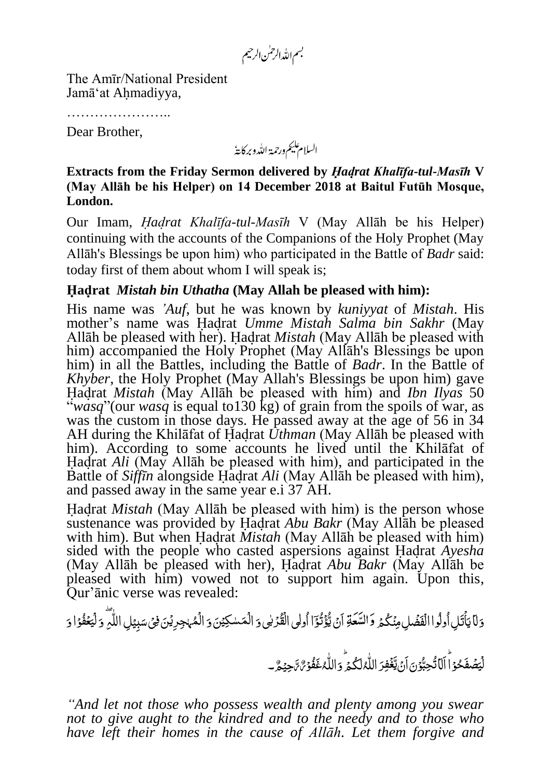بسم الله الرحمٰن الرحيم

The Amīr/National President Jamā'at Ahmadiyya,

……………………

Dear Brother,

السلام عليم ورحمة الله وبركايةُ

**Extracts from the Friday Sermon delivered by** *Hadrat Khalīfa-tul-Masīh* **V (May Allāh be his Helper) on 41 December 2018 at Baitul Futūh Mosque, London.**

Our Imam, *Hadrat Khalīfa-tul-Masīh* V (May Allāh be his Helper) continuing with the accounts of the Companions of the Holy Prophet (May Allāh's Blessings be upon him) who participated in the Battle of *Badr* said: today first of them about whom I will speak is;

## **Hadrat** *Mistah bin Uthatha* **(May Allah be pleased with him):**

His name was *'Auf*, but he was known by *kuniyyat* of *Mistah*. His mother's name was Hadrat *Umme Mistah Salma bin Sakhr* (May Allāh be pleased with her). Hadrat *Mistah* (May Allāh be pleased with him) accompanied the Holy Prophet (May Allah's Blessings be upon him) in all the Battles, including the Battle of *Badr*. In the Battle of *Khyber*, the Holy Prophet (May Allah's Blessings be upon him) gave Hadrat *Mistah* (May Allāh be pleased with him) and *Ibn Ilyas* 50 "*wasq*"(our *wasq* is equal to130 kg) of grain from the spoils of war, as was the custom in those days. He passed away at the age of 56 in 34 AH during the Khilāfat of Hadrat *Uthman* (May Allāh be pleased with him). According to some accounts he lived until the Khilāfat of Hadrat *Ali* (May Allāh be pleased with him), and participated in the Battle of *Siffīn* alongside Hadrat *Ali* (May Allāh be pleased with him), and passed away in the same year e.i 37 AH.

Hadrat *Mistah* (May Allāh be pleased with him) is the person whose sustenance was provided by Hadrat *Abu Bakr* (May Allāh be pleased with him). But when Hadrat *Mistah* (May Allāh be pleased with him) sided with the people who casted aspersions against Hadrat *Ayesha* (May Allāh be pleased with her), Hadrat *Abu Bakr* (May Allāh be pleased with him) vowed not to support him again. Upon this, Qur'ānic verse was revealed:

ر<br>گر وَلَا يَأْتَلِ أُولُوا الْفَضَٰلِ مِنۡكُمۡ وَالسَّعَةِ اَنۡ يُّؤۡنُوٓٓا أُولِى الْقُرۡلَى وَ الْمَسْكِيۡنَ وَ الْمُهْجِرِيۡنَ فِىۡ سَبِيۡلِ اللّٰهِ ۖ وَلَيۡعُفُوۡا ُ<br>و ل نَ<br>أ  $\tilde{a}$ ڗ ت أ<br>أ ا<br>پو اُ **ٔ** ب زَ م<br>م ٰ ٰ **لم**  $\tilde{a}$ بَ<br>∶ Ì. <u>ُز</u> ُ<br>مُ ۡ لۡیَ<del>ۡفُ</del>وۡا<sub>َ</sub>وَ

> لۡیَصۡفَحۡوَاۤ اَلَاۡتُّحِبُّوۡنَ اَنۡ یَّغۡفِرَ اللّٰہُکُمۡ وَاللّٰہُ غَفُوۡنٌ تَہۡیِمَّ ۔ ׇ֞׆<br>֧ Ï ِ<br>ِ ُ<br>مُ ُ ر<br>گر ل ُ Ļ نَ<br>ٔ ِ<br>ِ ن<br>پو ž ژ<br>ز </sub>

"And let not those who possess wealth and plenty among you swear *not to give aught to the kindred and to the needy and to those who have left their homes in the cause of Allāh. Let them forgive and*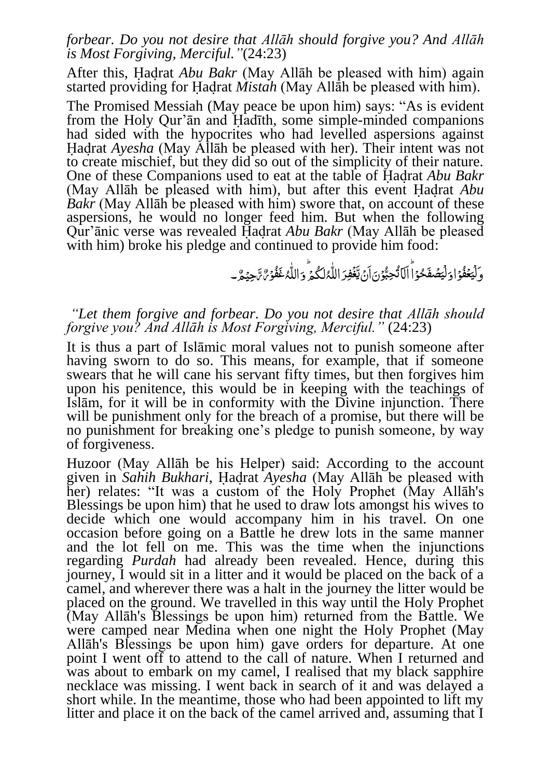## *forbear. Do you not desire that Allāh should forgive you? And Allāh is Most Forgiving, Merciful."*(24:23)

After this, Hadrat *Abu Bakr* (May Allāh be pleased with him) again started providing for Hadrat *Mistah* (May Allāh be pleased with him).

The Promised Messiah (May peace be upon him) says: "As is evident from the Holy Qur'ān and Hadīth, some simple-minded companions had sided with the hypocrites who had levelled aspersions against Hadrat *Ayesha* (May Allāh be pleased with her). Their intent was not to create mischief, but they did so out of the simplicity of their nature. One of these Companions used to eat at the table of Hadrat *Abu Bakr* (May Allāh be pleased with him), but after this event Hadrat *Abu Bakr* (May Allāh be pleased with him) swore that, on account of these aspersions, he would no longer feed him. But when the following Qur'ānic verse was revealed Hadrat *Abu Bakr* (May Allāh be pleased with him) broke his pledge and continued to provide him food:

> ۅؘڶٙؾ*ڂڤ*۠ۅۡٳۅٙڶٙؾڞڡؘ۫ڂۅۡٳۘٳۜڶڷڐٛڿڹ۠ۘۅ۫ڽؘٳڹ*۫*ؾڂۘڣؚڔؘٳڵڵ۠<sup>ڕ</sup>ڷڬ۠ۮؘٟؖۅؘٳڵڵ۠ڋڠڡؙ۠ۅ۬*ؽ۠؞ۧ*ڿؽؚ؏۠؎ ֧֞׆<br>֧  $\tilde{J}$ ِ<br>ُ <u>مُ</u> ُ ر<br>گر ل ُ Ě ֡׆<br>֡ ِ<br>ز ن<br>پو  $\frac{1}{2}$ ڗٛ ُ <u>ُ</u><br>ُ <u>مُ</u> ُ<br>ً َ َلۡی

## *"Let them forgive and forbear. Do you not desire that Allāh should forgive you? And Allāh is Most Forgiving, Merciful."* (24:23)

It is thus a part of Islāmic moral values not to punish someone after having sworn to do so. This means, for example, that if someone swears that he will cane his servant fifty times, but then forgives him upon his penitence, this would be in keeping with the teachings of Islām, for it will be in conformity with the Divine injunction. There will be punishment only for the breach of a promise, but there will be no punishment for breaking one's pledge to punish someone, by way of forgiveness.

Huzoor (May Allāh be his Helper) said: According to the account given in *Sahih Bukhari*, Hadrat *Ayesha* (May Allāh be pleased with her) relates: "It was a custom of the Holy Prophet (May Allāh's Blessings be upon him) that he used to draw lots amongst his wives to decide which one would accompany him in his travel. On one occasion before going on a Battle he drew lots in the same manner and the lot fell on me. This was the time when the injunctions regarding *Purdah* had already been revealed. Hence, during this journey, I would sit in a litter and it would be placed on the back of a camel, and wherever there was a halt in the journey the litter would be placed on the ground. We travelled in this way until the Holy Prophet (May Allāh's Blessings be upon him) returned from the Battle. We were camped near Medina when one night the Holy Prophet (May Allāh's Blessings be upon him) gave orders for departure. At one point I went off to attend to the call of nature. When I returned and was about to embark on my camel, I realised that my black sapphire necklace was missing. I went back in search of it and was delayed a short while. In the meantime, those who had been appointed to lift my litter and place it on the back of the camel arrived and, assuming that I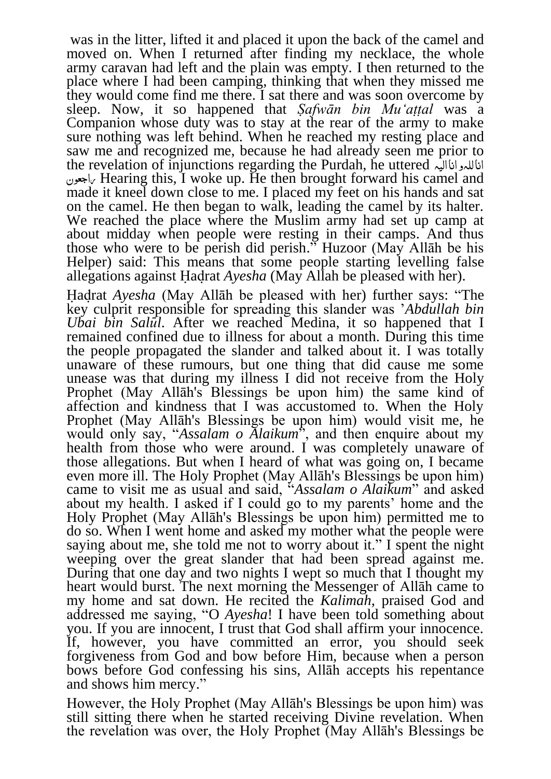was in the litter, lifted it and placed it upon the back of the camel and moved on. When I returned after finding my necklace, the whole army caravan had left and the plain was empty. I then returned to the place where I had been camping, thinking that when they missed me they would come find me there. I sat there and was soon overcome by sleep. Now, it so happened that *Ṣafwān bin Mu'aṭṭal* was a Companion whose duty was to stay at the rear of the army to make sure nothing was left behind. When he reached my resting place and saw me and recognized me, because he had already seen me prior to the revelation of injunctions regarding the Purdah, he uttered الیہ انا و للہ انا اجعون Hearing this, I woke up. He then brought forward his camel and made it kneel down close to me. I placed my feet on his hands and sat on the camel. He then began to walk, leading the camel by its halter. We reached the place where the Muslim army had set up camp at about midday when people were resting in their camps. And thus those who were to be perish did perish." Huzoor (May Allāh be his Helper) said: This means that some people starting levelling false allegations against Hadrat *Ayesha* (May Allah be pleased with her).

Hadrat *Ayesha* (May Allāh be pleased with her) further says: "The key culprit responsible for spreading this slander was '*Abdullah bin Ubai bin Salul*. After we reached Medina, it so happened that I remained confined due to illness for about a month. During this time the people propagated the slander and talked about it. I was totally unaware of these rumours, but one thing that did cause me some unease was that during my illness I did not receive from the Holy Prophet (May Allāh's Blessings be upon him) the same kind of affection and kindness that I was accustomed to. When the Holy Prophet (May Allāh's Blessings be upon him) would visit me, he would only say, "*Assalam o Alaikum*", and then enquire about my health from those who were around. I was completely unaware of those allegations. But when I heard of what was going on, I became even more ill. The Holy Prophet (May Allāh's Blessings be upon him) came to visit me as usual and said, "*Assalam o Alaikum*" and asked about my health. I asked if I could go to my parents' home and the Holy Prophet (May Allāh's Blessings be upon him) permitted me to do so. When I went home and asked my mother what the people were saying about me, she told me not to worry about it." I spent the night weeping over the great slander that had been spread against me. During that one day and two nights I wept so much that I thought my heart would burst. The next morning the Messenger of Allāh came to my home and sat down. He recited the *Kalimah*, praised God and addressed me saying, "O *Ayesha*! I have been told something about you. If you are innocent, I trust that God shall affirm your innocence. If, however, you have committed an error, you should seek forgiveness from God and bow before Him, because when a person bows before God confessing his sins, Allāh accepts his repentance and shows him mercy."

However, the Holy Prophet (May Allāh's Blessings be upon him) was still sitting there when he started receiving Divine revelation. When the revelation was over, the Holy Prophet (May Allāh's Blessings be